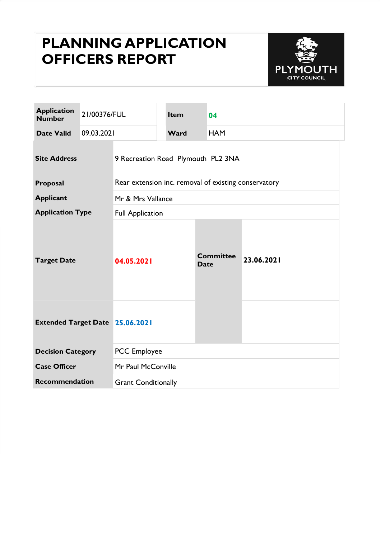# PLANNING APPLICATION OFFICERS REPORT



| <b>Application</b><br><b>Number</b>    | 21/00376/FUL |                                                      | <b>Item</b> | 04                              |            |  |
|----------------------------------------|--------------|------------------------------------------------------|-------------|---------------------------------|------------|--|
| <b>Date Valid</b>                      | 09.03.2021   |                                                      | Ward        | <b>HAM</b>                      |            |  |
| <b>Site Address</b>                    |              | 9 Recreation Road Plymouth PL2 3NA                   |             |                                 |            |  |
| Proposal                               |              | Rear extension inc. removal of existing conservatory |             |                                 |            |  |
| <b>Applicant</b>                       |              | Mr & Mrs Vallance                                    |             |                                 |            |  |
| <b>Application Type</b>                |              | <b>Full Application</b>                              |             |                                 |            |  |
| <b>Target Date</b>                     |              | 04.05.2021                                           |             | <b>Committee</b><br><b>Date</b> | 23.06.2021 |  |
| <b>Extended Target Date 25.06.2021</b> |              |                                                      |             |                                 |            |  |
| <b>Decision Category</b>               |              | <b>PCC</b> Employee                                  |             |                                 |            |  |
| <b>Case Officer</b>                    |              | Mr Paul McConville                                   |             |                                 |            |  |
| <b>Recommendation</b>                  |              | <b>Grant Conditionally</b>                           |             |                                 |            |  |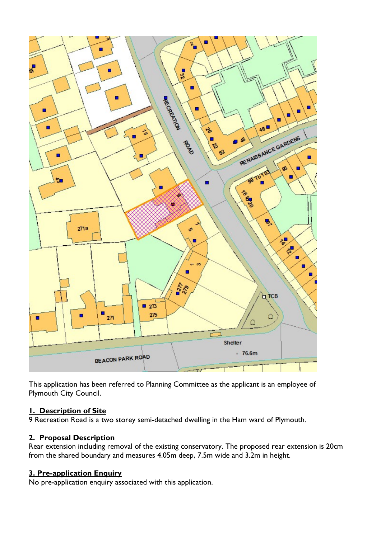

This application has been referred to Planning Committee as the applicant is an employee of Plymouth City Council.

#### 1. Description of Site

9 Recreation Road is a two storey semi-detached dwelling in the Ham ward of Plymouth.

#### 2. Proposal Description

Rear extension including removal of the existing conservatory. The proposed rear extension is 20cm from the shared boundary and measures 4.05m deep, 7.5m wide and 3.2m in height.

## 3. Pre-application Enquiry

No pre-application enquiry associated with this application.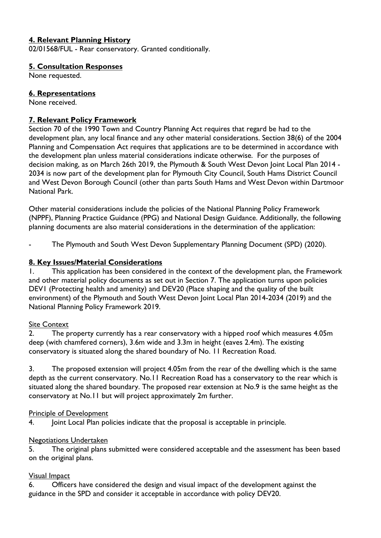## 4. Relevant Planning History

02/01568/FUL - Rear conservatory. Granted conditionally.

#### 5. Consultation Responses

None requested.

#### 6. Representations

None received.

#### 7. Relevant Policy Framework

Section 70 of the 1990 Town and Country Planning Act requires that regard be had to the development plan, any local finance and any other material considerations. Section 38(6) of the 2004 Planning and Compensation Act requires that applications are to be determined in accordance with the development plan unless material considerations indicate otherwise. For the purposes of decision making, as on March 26th 2019, the Plymouth & South West Devon Joint Local Plan 2014 - 2034 is now part of the development plan for Plymouth City Council, South Hams District Council and West Devon Borough Council (other than parts South Hams and West Devon within Dartmoor National Park.

Other material considerations include the policies of the National Planning Policy Framework (NPPF), Planning Practice Guidance (PPG) and National Design Guidance. Additionally, the following planning documents are also material considerations in the determination of the application:

The Plymouth and South West Devon Supplementary Planning Document (SPD) (2020).

#### 8. Key Issues/Material Considerations

1. This application has been considered in the context of the development plan, the Framework and other material policy documents as set out in Section 7. The application turns upon policies DEV1 (Protecting health and amenity) and DEV20 (Place shaping and the quality of the built environment) of the Plymouth and South West Devon Joint Local Plan 2014-2034 (2019) and the National Planning Policy Framework 2019.

#### Site Context

2. The property currently has a rear conservatory with a hipped roof which measures 4.05m deep (with chamfered corners), 3.6m wide and 3.3m in height (eaves 2.4m). The existing conservatory is situated along the shared boundary of No. 11 Recreation Road.

3. The proposed extension will project 4.05m from the rear of the dwelling which is the same depth as the current conservatory. No.11 Recreation Road has a conservatory to the rear which is situated along the shared boundary. The proposed rear extension at No.9 is the same height as the conservatory at No.11 but will project approximately 2m further.

#### Principle of Development

4. Joint Local Plan policies indicate that the proposal is acceptable in principle.

#### Negotiations Undertaken

5. The original plans submitted were considered acceptable and the assessment has been based on the original plans.

## Visual Impact

6. Officers have considered the design and visual impact of the development against the guidance in the SPD and consider it acceptable in accordance with policy DEV20.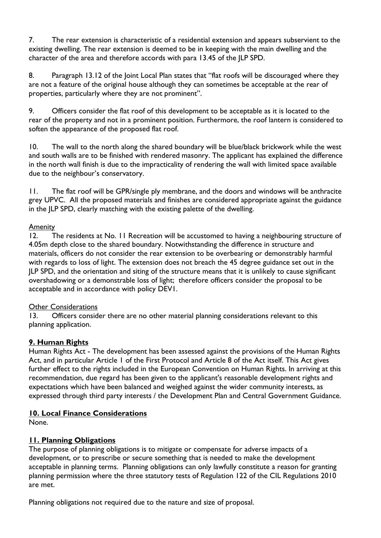7. The rear extension is characteristic of a residential extension and appears subservient to the existing dwelling. The rear extension is deemed to be in keeping with the main dwelling and the character of the area and therefore accords with para 13.45 of the JLP SPD.

8. Paragraph 13.12 of the Joint Local Plan states that "flat roofs will be discouraged where they are not a feature of the original house although they can sometimes be acceptable at the rear of properties, particularly where they are not prominent".

9. Officers consider the flat roof of this development to be acceptable as it is located to the rear of the property and not in a prominent position. Furthermore, the roof lantern is considered to soften the appearance of the proposed flat roof.

10. The wall to the north along the shared boundary will be blue/black brickwork while the west and south walls are to be finished with rendered masonry. The applicant has explained the difference in the north wall finish is due to the impracticality of rendering the wall with limited space available due to the neighbour's conservatory.

11. The flat roof will be GPR/single ply membrane, and the doors and windows will be anthracite grey UPVC. All the proposed materials and finishes are considered appropriate against the guidance in the JLP SPD, clearly matching with the existing palette of the dwelling.

#### Amenity

12. The residents at No. 11 Recreation will be accustomed to having a neighbouring structure of 4.05m depth close to the shared boundary. Notwithstanding the difference in structure and materials, officers do not consider the rear extension to be overbearing or demonstrably harmful with regards to loss of light. The extension does not breach the 45 degree guidance set out in the JLP SPD, and the orientation and siting of the structure means that it is unlikely to cause significant overshadowing or a demonstrable loss of light; therefore officers consider the proposal to be acceptable and in accordance with policy DEV1.

#### Other Considerations

13. Officers consider there are no other material planning considerations relevant to this planning application.

## 9. Human Rights

Human Rights Act - The development has been assessed against the provisions of the Human Rights Act, and in particular Article 1 of the First Protocol and Article 8 of the Act itself. This Act gives further effect to the rights included in the European Convention on Human Rights. In arriving at this recommendation, due regard has been given to the applicant's reasonable development rights and expectations which have been balanced and weighed against the wider community interests, as expressed through third party interests / the Development Plan and Central Government Guidance.

## 10. Local Finance Considerations

None.

## 11. Planning Obligations

The purpose of planning obligations is to mitigate or compensate for adverse impacts of a development, or to prescribe or secure something that is needed to make the development acceptable in planning terms. Planning obligations can only lawfully constitute a reason for granting planning permission where the three statutory tests of Regulation 122 of the CIL Regulations 2010 are met.

Planning obligations not required due to the nature and size of proposal.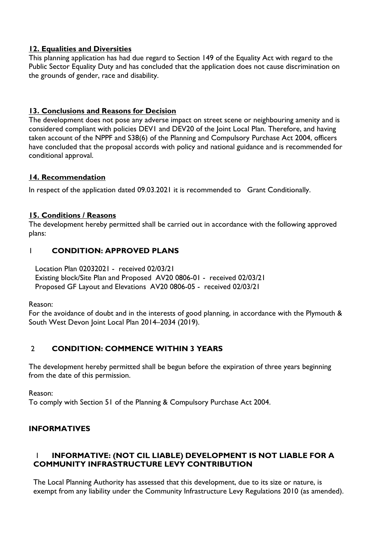## 12. Equalities and Diversities

This planning application has had due regard to Section 149 of the Equality Act with regard to the Public Sector Equality Duty and has concluded that the application does not cause discrimination on the grounds of gender, race and disability.

## 13. Conclusions and Reasons for Decision

The development does not pose any adverse impact on street scene or neighbouring amenity and is considered compliant with policies DEV1 and DEV20 of the Joint Local Plan. Therefore, and having taken account of the NPPF and S38(6) of the Planning and Compulsory Purchase Act 2004, officers have concluded that the proposal accords with policy and national guidance and is recommended for conditional approval.

#### 14. Recommendation

In respect of the application dated 09.03.2021 it is recommended to Grant Conditionally.

#### 15. Conditions / Reasons

The development hereby permitted shall be carried out in accordance with the following approved plans:

## 1 CONDITION: APPROVED PLANS

 Location Plan 02032021 - received 02/03/21 Existing block/Site Plan and Proposed AV20 0806-01 - received 02/03/21 Proposed GF Layout and Elevations AV20 0806-05 - received 02/03/21

Reason:

For the avoidance of doubt and in the interests of good planning, in accordance with the Plymouth & South West Devon Joint Local Plan 2014–2034 (2019).

## 2 CONDITION: COMMENCE WITHIN 3 YEARS

The development hereby permitted shall be begun before the expiration of three years beginning from the date of this permission.

Reason:

To comply with Section 51 of the Planning & Compulsory Purchase Act 2004.

## INFORMATIVES

## 1 INFORMATIVE: (NOT CIL LIABLE) DEVELOPMENT IS NOT LIABLE FOR A COMMUNITY INFRASTRUCTURE LEVY CONTRIBUTION

The Local Planning Authority has assessed that this development, due to its size or nature, is exempt from any liability under the Community Infrastructure Levy Regulations 2010 (as amended).